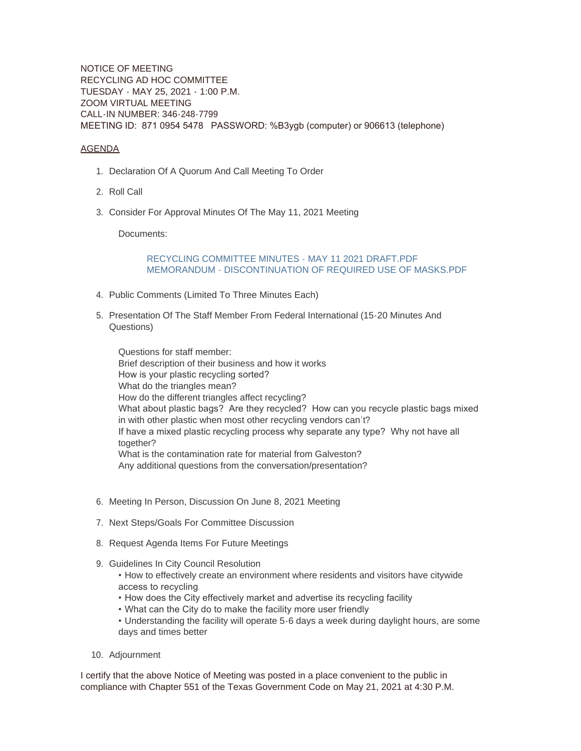NOTICE OF MEETING RECYCLING AD HOC COMMITTEE TUESDAY - MAY 25, 2021 - 1:00 P.M. ZOOM VIRTUAL MEETING CALL-IN NUMBER: 346-248-7799 MEETING ID: 871 0954 5478 PASSWORD: %B3ygb (computer) or 906613 (telephone)

## AGENDA

- 1. Declaration Of A Quorum And Call Meeting To Order
- 2. Roll Call
- Consider For Approval Minutes Of The May 11, 2021 Meeting 3.

Documents:

## RECYCLING COMMITTEE MINUTES - MAY 11 2021 DRAFT PDF [MEMORANDUM - DISCONTINUATION OF REQUIRED USE OF MASKS.PDF](https://www.galvestontx.gov/AgendaCenter/ViewFile/Item/12182?fileID=30148)

- 4. Public Comments (Limited To Three Minutes Each)
- 5. Presentation Of The Staff Member From Federal International (15-20 Minutes And Questions)

Questions for staff member: Brief description of their business and how it works How is your plastic recycling sorted? What do the triangles mean? How do the different triangles affect recycling? What about plastic bags? Are they recycled? How can you recycle plastic bags mixed in with other plastic when most other recycling vendors can't? If have a mixed plastic recycling process why separate any type? Why not have all together? What is the contamination rate for material from Galveston? Any additional questions from the conversation/presentation?

- 6. Meeting In Person, Discussion On June 8, 2021 Meeting
- 7. Next Steps/Goals For Committee Discussion
- 8. Request Agenda Items For Future Meetings
- 9. Guidelines In City Council Resolution
	- How to effectively create an environment where residents and visitors have citywide access to recycling
	- How does the City effectively market and advertise its recycling facility
	- What can the City do to make the facility more user friendly
	- Understanding the facility will operate 5-6 days a week during daylight hours, are some days and times better
- 10. Adjournment

I certify that the above Notice of Meeting was posted in a place convenient to the public in compliance with Chapter 551 of the Texas Government Code on May 21, 2021 at 4:30 P.M.